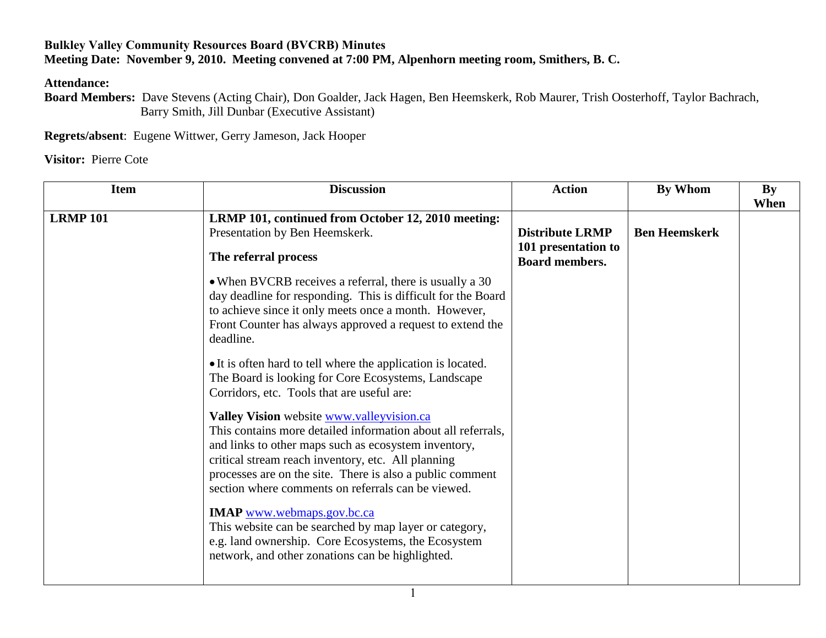## **Bulkley Valley Community Resources Board (BVCRB) Minutes Meeting Date: November 9, 2010. Meeting convened at 7:00 PM, Alpenhorn meeting room, Smithers, B. C.**

**Attendance:**

**Board Members:** Dave Stevens (Acting Chair), Don Goalder, Jack Hagen, Ben Heemskerk, Rob Maurer, Trish Oosterhoff, Taylor Bachrach, Barry Smith, Jill Dunbar (Executive Assistant)

**Regrets/absent**: Eugene Wittwer, Gerry Jameson, Jack Hooper

**Visitor:** Pierre Cote

| <b>Item</b>     | <b>Discussion</b>                                                                                                                                                                                                                                                                                                                          | <b>Action</b>                                                          | By Whom              | $\mathbf{B}\mathbf{y}$<br>When |
|-----------------|--------------------------------------------------------------------------------------------------------------------------------------------------------------------------------------------------------------------------------------------------------------------------------------------------------------------------------------------|------------------------------------------------------------------------|----------------------|--------------------------------|
| <b>LRMP 101</b> | LRMP 101, continued from October 12, 2010 meeting:<br>Presentation by Ben Heemskerk.<br>The referral process                                                                                                                                                                                                                               | <b>Distribute LRMP</b><br>101 presentation to<br><b>Board members.</b> | <b>Ben Heemskerk</b> |                                |
|                 | • When BVCRB receives a referral, there is usually a 30<br>day deadline for responding. This is difficult for the Board<br>to achieve since it only meets once a month. However,<br>Front Counter has always approved a request to extend the<br>deadline.                                                                                 |                                                                        |                      |                                |
|                 | • It is often hard to tell where the application is located.<br>The Board is looking for Core Ecosystems, Landscape<br>Corridors, etc. Tools that are useful are:                                                                                                                                                                          |                                                                        |                      |                                |
|                 | Valley Vision website www.valleyvision.ca<br>This contains more detailed information about all referrals,<br>and links to other maps such as ecosystem inventory,<br>critical stream reach inventory, etc. All planning<br>processes are on the site. There is also a public comment<br>section where comments on referrals can be viewed. |                                                                        |                      |                                |
|                 | <b>IMAP</b> www.webmaps.gov.bc.ca<br>This website can be searched by map layer or category,<br>e.g. land ownership. Core Ecosystems, the Ecosystem<br>network, and other zonations can be highlighted.                                                                                                                                     |                                                                        |                      |                                |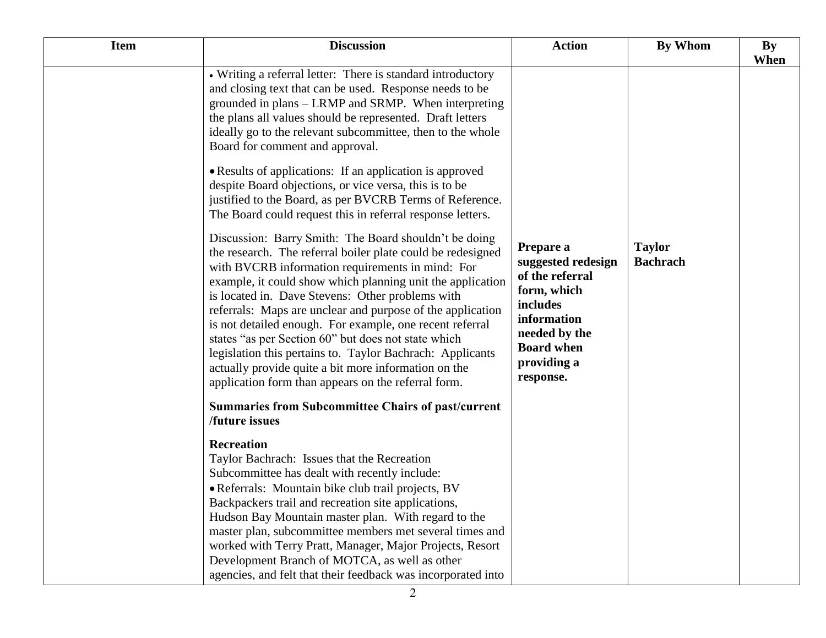| <b>Item</b> | <b>Discussion</b>                                                                                                                                                                                                                                                                                                                                                                                                                                                                                                                                                                                                                                     | <b>Action</b>                                                                                                                                                  | <b>By Whom</b>                   | <b>By</b><br>When |
|-------------|-------------------------------------------------------------------------------------------------------------------------------------------------------------------------------------------------------------------------------------------------------------------------------------------------------------------------------------------------------------------------------------------------------------------------------------------------------------------------------------------------------------------------------------------------------------------------------------------------------------------------------------------------------|----------------------------------------------------------------------------------------------------------------------------------------------------------------|----------------------------------|-------------------|
|             | • Writing a referral letter: There is standard introductory<br>and closing text that can be used. Response needs to be<br>grounded in plans – LRMP and SRMP. When interpreting<br>the plans all values should be represented. Draft letters<br>ideally go to the relevant subcommittee, then to the whole<br>Board for comment and approval.<br>• Results of applications: If an application is approved<br>despite Board objections, or vice versa, this is to be<br>justified to the Board, as per BVCRB Terms of Reference.<br>The Board could request this in referral response letters.<br>Discussion: Barry Smith: The Board shouldn't be doing |                                                                                                                                                                |                                  |                   |
|             | the research. The referral boiler plate could be redesigned<br>with BVCRB information requirements in mind: For<br>example, it could show which planning unit the application<br>is located in. Dave Stevens: Other problems with<br>referrals: Maps are unclear and purpose of the application<br>is not detailed enough. For example, one recent referral<br>states "as per Section 60" but does not state which<br>legislation this pertains to. Taylor Bachrach: Applicants<br>actually provide quite a bit more information on the<br>application form than appears on the referral form.                                                        | Prepare a<br>suggested redesign<br>of the referral<br>form, which<br>includes<br>information<br>needed by the<br><b>Board when</b><br>providing a<br>response. | <b>Taylor</b><br><b>Bachrach</b> |                   |
|             | <b>Summaries from Subcommittee Chairs of past/current</b><br><b>/future</b> issues                                                                                                                                                                                                                                                                                                                                                                                                                                                                                                                                                                    |                                                                                                                                                                |                                  |                   |
|             | <b>Recreation</b><br>Taylor Bachrach: Issues that the Recreation<br>Subcommittee has dealt with recently include:<br>· Referrals: Mountain bike club trail projects, BV<br>Backpackers trail and recreation site applications,<br>Hudson Bay Mountain master plan. With regard to the<br>master plan, subcommittee members met several times and<br>worked with Terry Pratt, Manager, Major Projects, Resort<br>Development Branch of MOTCA, as well as other<br>agencies, and felt that their feedback was incorporated into                                                                                                                         |                                                                                                                                                                |                                  |                   |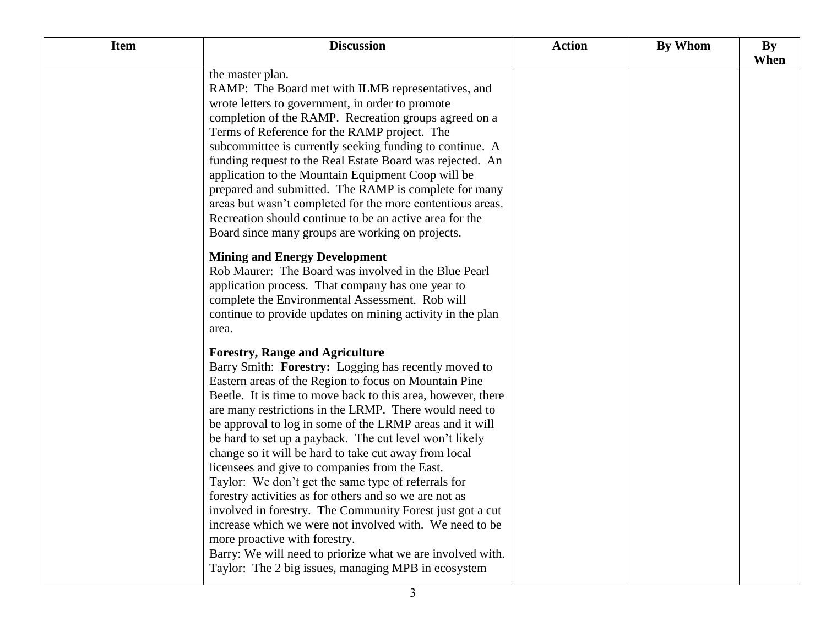| <b>Item</b> | <b>Discussion</b>                                                                                                                                                                                                                                                                                                                                                                                                                                                                                                                                                                                                                                                                                                                                                                                                                                                                                                  | <b>Action</b> | <b>By Whom</b> | <b>By</b><br>When |
|-------------|--------------------------------------------------------------------------------------------------------------------------------------------------------------------------------------------------------------------------------------------------------------------------------------------------------------------------------------------------------------------------------------------------------------------------------------------------------------------------------------------------------------------------------------------------------------------------------------------------------------------------------------------------------------------------------------------------------------------------------------------------------------------------------------------------------------------------------------------------------------------------------------------------------------------|---------------|----------------|-------------------|
|             | the master plan.<br>RAMP: The Board met with ILMB representatives, and<br>wrote letters to government, in order to promote<br>completion of the RAMP. Recreation groups agreed on a<br>Terms of Reference for the RAMP project. The<br>subcommittee is currently seeking funding to continue. A<br>funding request to the Real Estate Board was rejected. An<br>application to the Mountain Equipment Coop will be<br>prepared and submitted. The RAMP is complete for many<br>areas but wasn't completed for the more contentious areas.<br>Recreation should continue to be an active area for the<br>Board since many groups are working on projects.                                                                                                                                                                                                                                                           |               |                |                   |
|             | <b>Mining and Energy Development</b><br>Rob Maurer: The Board was involved in the Blue Pearl<br>application process. That company has one year to<br>complete the Environmental Assessment. Rob will<br>continue to provide updates on mining activity in the plan<br>area.                                                                                                                                                                                                                                                                                                                                                                                                                                                                                                                                                                                                                                        |               |                |                   |
|             | <b>Forestry, Range and Agriculture</b><br>Barry Smith: Forestry: Logging has recently moved to<br>Eastern areas of the Region to focus on Mountain Pine<br>Beetle. It is time to move back to this area, however, there<br>are many restrictions in the LRMP. There would need to<br>be approval to log in some of the LRMP areas and it will<br>be hard to set up a payback. The cut level won't likely<br>change so it will be hard to take cut away from local<br>licensees and give to companies from the East.<br>Taylor: We don't get the same type of referrals for<br>forestry activities as for others and so we are not as<br>involved in forestry. The Community Forest just got a cut<br>increase which we were not involved with. We need to be<br>more proactive with forestry.<br>Barry: We will need to priorize what we are involved with.<br>Taylor: The 2 big issues, managing MPB in ecosystem |               |                |                   |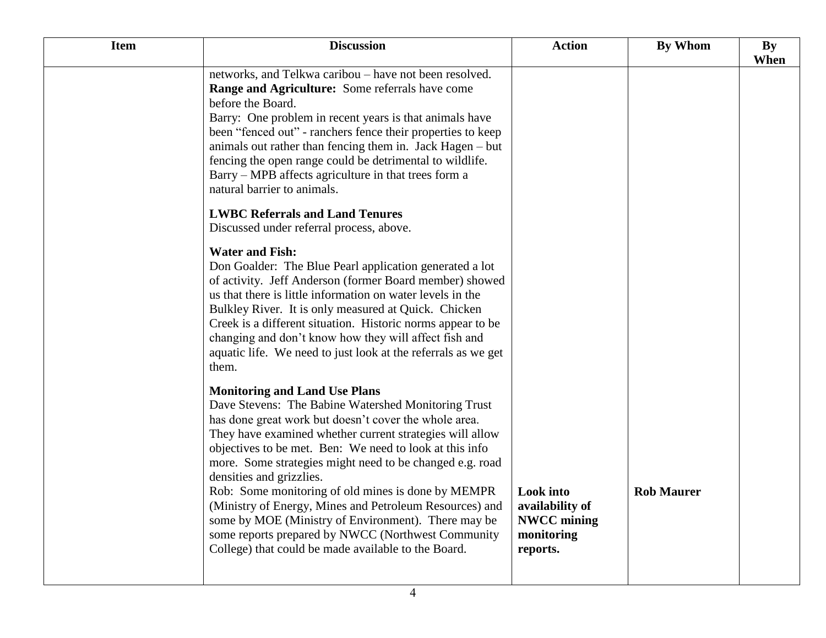| <b>Item</b> | <b>Discussion</b>                                                                                                                                                                                                                                                                                                                                                                                                                                                        | <b>Action</b>                                                                       | <b>By Whom</b>    | <b>By</b><br>When |
|-------------|--------------------------------------------------------------------------------------------------------------------------------------------------------------------------------------------------------------------------------------------------------------------------------------------------------------------------------------------------------------------------------------------------------------------------------------------------------------------------|-------------------------------------------------------------------------------------|-------------------|-------------------|
|             | networks, and Telkwa caribou – have not been resolved.<br>Range and Agriculture: Some referrals have come<br>before the Board.<br>Barry: One problem in recent years is that animals have<br>been "fenced out" - ranchers fence their properties to keep<br>animals out rather than fencing them in. Jack Hagen – but<br>fencing the open range could be detrimental to wildlife.<br>Barry – MPB affects agriculture in that trees form a<br>natural barrier to animals. |                                                                                     |                   |                   |
|             | <b>LWBC Referrals and Land Tenures</b><br>Discussed under referral process, above.                                                                                                                                                                                                                                                                                                                                                                                       |                                                                                     |                   |                   |
|             | <b>Water and Fish:</b><br>Don Goalder: The Blue Pearl application generated a lot<br>of activity. Jeff Anderson (former Board member) showed<br>us that there is little information on water levels in the<br>Bulkley River. It is only measured at Quick. Chicken<br>Creek is a different situation. Historic norms appear to be<br>changing and don't know how they will affect fish and<br>aquatic life. We need to just look at the referrals as we get<br>them.     |                                                                                     |                   |                   |
|             | <b>Monitoring and Land Use Plans</b><br>Dave Stevens: The Babine Watershed Monitoring Trust<br>has done great work but doesn't cover the whole area.<br>They have examined whether current strategies will allow<br>objectives to be met. Ben: We need to look at this info<br>more. Some strategies might need to be changed e.g. road<br>densities and grizzlies.                                                                                                      |                                                                                     |                   |                   |
|             | Rob: Some monitoring of old mines is done by MEMPR<br>(Ministry of Energy, Mines and Petroleum Resources) and<br>some by MOE (Ministry of Environment). There may be<br>some reports prepared by NWCC (Northwest Community<br>College) that could be made available to the Board.                                                                                                                                                                                        | <b>Look</b> into<br>availability of<br><b>NWCC</b> mining<br>monitoring<br>reports. | <b>Rob Maurer</b> |                   |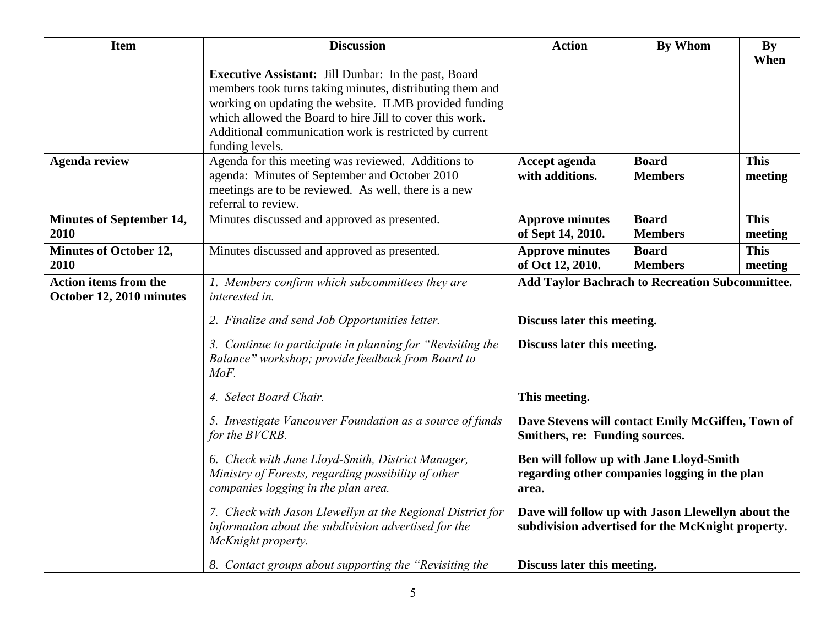| <b>Item</b>                                              | <b>Discussion</b>                                                                                                                                                                                                                                                                                                          | <b>Action</b>                                                                                           | <b>By Whom</b>                 | <b>By</b><br>When      |
|----------------------------------------------------------|----------------------------------------------------------------------------------------------------------------------------------------------------------------------------------------------------------------------------------------------------------------------------------------------------------------------------|---------------------------------------------------------------------------------------------------------|--------------------------------|------------------------|
|                                                          | <b>Executive Assistant:</b> Jill Dunbar: In the past, Board<br>members took turns taking minutes, distributing them and<br>working on updating the website. ILMB provided funding<br>which allowed the Board to hire Jill to cover this work.<br>Additional communication work is restricted by current<br>funding levels. |                                                                                                         |                                |                        |
| <b>Agenda review</b>                                     | Agenda for this meeting was reviewed. Additions to<br>agenda: Minutes of September and October 2010<br>meetings are to be reviewed. As well, there is a new<br>referral to review.                                                                                                                                         | Accept agenda<br>with additions.                                                                        | <b>Board</b><br><b>Members</b> | <b>This</b><br>meeting |
| <b>Minutes of September 14,</b><br>2010                  | Minutes discussed and approved as presented.                                                                                                                                                                                                                                                                               | <b>Approve minutes</b><br>of Sept 14, 2010.                                                             | <b>Board</b><br><b>Members</b> | <b>This</b><br>meeting |
| <b>Minutes of October 12,</b><br>2010                    | Minutes discussed and approved as presented.                                                                                                                                                                                                                                                                               | <b>Approve minutes</b><br>of Oct 12, 2010.                                                              | <b>Board</b><br><b>Members</b> | <b>This</b><br>meeting |
| <b>Action items from the</b><br>October 12, 2010 minutes | 1. Members confirm which subcommittees they are<br>interested in.                                                                                                                                                                                                                                                          | <b>Add Taylor Bachrach to Recreation Subcommittee.</b>                                                  |                                |                        |
|                                                          | 2. Finalize and send Job Opportunities letter.                                                                                                                                                                                                                                                                             | Discuss later this meeting.                                                                             |                                |                        |
|                                                          | 3. Continue to participate in planning for "Revisiting the<br>Balance" workshop; provide feedback from Board to<br>MoF.                                                                                                                                                                                                    | Discuss later this meeting.                                                                             |                                |                        |
|                                                          | 4. Select Board Chair.                                                                                                                                                                                                                                                                                                     | This meeting.                                                                                           |                                |                        |
|                                                          | 5. Investigate Vancouver Foundation as a source of funds<br>for the BVCRB.                                                                                                                                                                                                                                                 | Dave Stevens will contact Emily McGiffen, Town of<br>Smithers, re: Funding sources.                     |                                |                        |
|                                                          | 6. Check with Jane Lloyd-Smith, District Manager,<br>Ministry of Forests, regarding possibility of other<br>companies logging in the plan area.                                                                                                                                                                            | Ben will follow up with Jane Lloyd-Smith<br>regarding other companies logging in the plan<br>area.      |                                |                        |
|                                                          | 7. Check with Jason Llewellyn at the Regional District for<br>information about the subdivision advertised for the<br>McKnight property.                                                                                                                                                                                   | Dave will follow up with Jason Llewellyn about the<br>subdivision advertised for the McKnight property. |                                |                        |
|                                                          | 8. Contact groups about supporting the "Revisiting the                                                                                                                                                                                                                                                                     | Discuss later this meeting.                                                                             |                                |                        |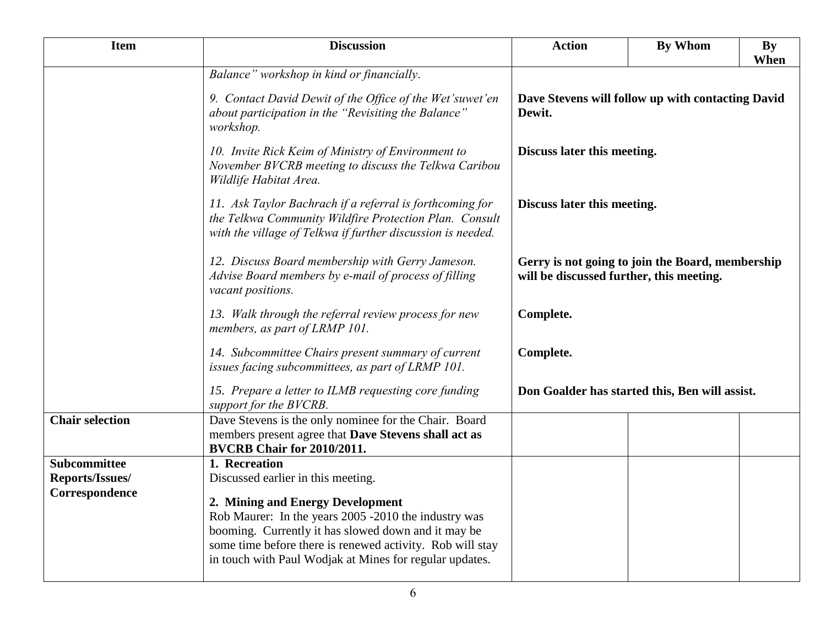| <b>Item</b>            | <b>Discussion</b>                                                                                                                                                                                                                                                       | <b>Action</b>                                                                                                                                                                        | <b>By Whom</b> | <b>By</b><br>When |
|------------------------|-------------------------------------------------------------------------------------------------------------------------------------------------------------------------------------------------------------------------------------------------------------------------|--------------------------------------------------------------------------------------------------------------------------------------------------------------------------------------|----------------|-------------------|
|                        | Balance" workshop in kind or financially.                                                                                                                                                                                                                               |                                                                                                                                                                                      |                |                   |
|                        | 9. Contact David Dewit of the Office of the Wet'suwet'en<br>about participation in the "Revisiting the Balance"<br>workshop.                                                                                                                                            | Dave Stevens will follow up with contacting David<br>Dewit.                                                                                                                          |                |                   |
|                        | 10. Invite Rick Keim of Ministry of Environment to<br>November BVCRB meeting to discuss the Telkwa Caribou<br>Wildlife Habitat Area.                                                                                                                                    | Discuss later this meeting.<br>Discuss later this meeting.<br>Gerry is not going to join the Board, membership<br>will be discussed further, this meeting.<br>Complete.<br>Complete. |                |                   |
|                        | 11. Ask Taylor Bachrach if a referral is forthcoming for<br>the Telkwa Community Wildfire Protection Plan. Consult<br>with the village of Telkwa if further discussion is needed.                                                                                       |                                                                                                                                                                                      |                |                   |
|                        | 12. Discuss Board membership with Gerry Jameson.<br>Advise Board members by e-mail of process of filling<br>vacant positions.                                                                                                                                           |                                                                                                                                                                                      |                |                   |
|                        | 13. Walk through the referral review process for new<br>members, as part of LRMP 101.                                                                                                                                                                                   |                                                                                                                                                                                      |                |                   |
|                        | 14. Subcommittee Chairs present summary of current<br>issues facing subcommittees, as part of LRMP 101.                                                                                                                                                                 |                                                                                                                                                                                      |                |                   |
|                        | 15. Prepare a letter to ILMB requesting core funding<br>support for the BVCRB.                                                                                                                                                                                          | Don Goalder has started this, Ben will assist.                                                                                                                                       |                |                   |
| <b>Chair selection</b> | Dave Stevens is the only nominee for the Chair. Board<br>members present agree that Dave Stevens shall act as<br>BVCRB Chair for 2010/2011.                                                                                                                             |                                                                                                                                                                                      |                |                   |
| <b>Subcommittee</b>    | 1. Recreation                                                                                                                                                                                                                                                           |                                                                                                                                                                                      |                |                   |
| Reports/Issues/        | Discussed earlier in this meeting.                                                                                                                                                                                                                                      |                                                                                                                                                                                      |                |                   |
| Correspondence         | 2. Mining and Energy Development<br>Rob Maurer: In the years 2005 -2010 the industry was<br>booming. Currently it has slowed down and it may be<br>some time before there is renewed activity. Rob will stay<br>in touch with Paul Wodjak at Mines for regular updates. |                                                                                                                                                                                      |                |                   |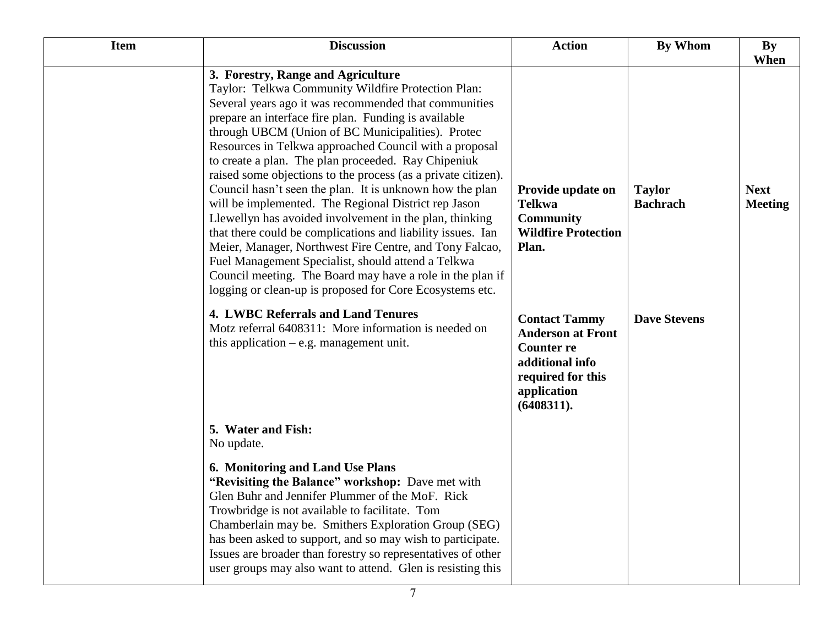| <b>Item</b> | <b>Discussion</b>                                                                                                                                                                                                                                                                                                                                                                                                                                                                                                                                                                                                                                                                                                                                                                                                                                                                                                                        | <b>Action</b>                                                                                                                              | By Whom                          | <b>By</b>                     |
|-------------|------------------------------------------------------------------------------------------------------------------------------------------------------------------------------------------------------------------------------------------------------------------------------------------------------------------------------------------------------------------------------------------------------------------------------------------------------------------------------------------------------------------------------------------------------------------------------------------------------------------------------------------------------------------------------------------------------------------------------------------------------------------------------------------------------------------------------------------------------------------------------------------------------------------------------------------|--------------------------------------------------------------------------------------------------------------------------------------------|----------------------------------|-------------------------------|
|             |                                                                                                                                                                                                                                                                                                                                                                                                                                                                                                                                                                                                                                                                                                                                                                                                                                                                                                                                          |                                                                                                                                            |                                  | When                          |
|             | 3. Forestry, Range and Agriculture<br>Taylor: Telkwa Community Wildfire Protection Plan:<br>Several years ago it was recommended that communities<br>prepare an interface fire plan. Funding is available<br>through UBCM (Union of BC Municipalities). Protec<br>Resources in Telkwa approached Council with a proposal<br>to create a plan. The plan proceeded. Ray Chipeniuk<br>raised some objections to the process (as a private citizen).<br>Council hasn't seen the plan. It is unknown how the plan<br>will be implemented. The Regional District rep Jason<br>Llewellyn has avoided involvement in the plan, thinking<br>that there could be complications and liability issues. Ian<br>Meier, Manager, Northwest Fire Centre, and Tony Falcao,<br>Fuel Management Specialist, should attend a Telkwa<br>Council meeting. The Board may have a role in the plan if<br>logging or clean-up is proposed for Core Ecosystems etc. | Provide update on<br><b>Telkwa</b><br><b>Community</b><br><b>Wildfire Protection</b><br>Plan.                                              | <b>Taylor</b><br><b>Bachrach</b> | <b>Next</b><br><b>Meeting</b> |
|             | <b>4. LWBC Referrals and Land Tenures</b><br>Motz referral 6408311: More information is needed on<br>this application $-e.g.$ management unit.                                                                                                                                                                                                                                                                                                                                                                                                                                                                                                                                                                                                                                                                                                                                                                                           | <b>Contact Tammy</b><br><b>Anderson at Front</b><br><b>Counter re</b><br>additional info<br>required for this<br>application<br>(6408311). | <b>Dave Stevens</b>              |                               |
|             | 5. Water and Fish:<br>No update.                                                                                                                                                                                                                                                                                                                                                                                                                                                                                                                                                                                                                                                                                                                                                                                                                                                                                                         |                                                                                                                                            |                                  |                               |
|             | 6. Monitoring and Land Use Plans<br>"Revisiting the Balance" workshop: Dave met with<br>Glen Buhr and Jennifer Plummer of the MoF. Rick<br>Trowbridge is not available to facilitate. Tom<br>Chamberlain may be. Smithers Exploration Group (SEG)<br>has been asked to support, and so may wish to participate.<br>Issues are broader than forestry so representatives of other<br>user groups may also want to attend. Glen is resisting this                                                                                                                                                                                                                                                                                                                                                                                                                                                                                           |                                                                                                                                            |                                  |                               |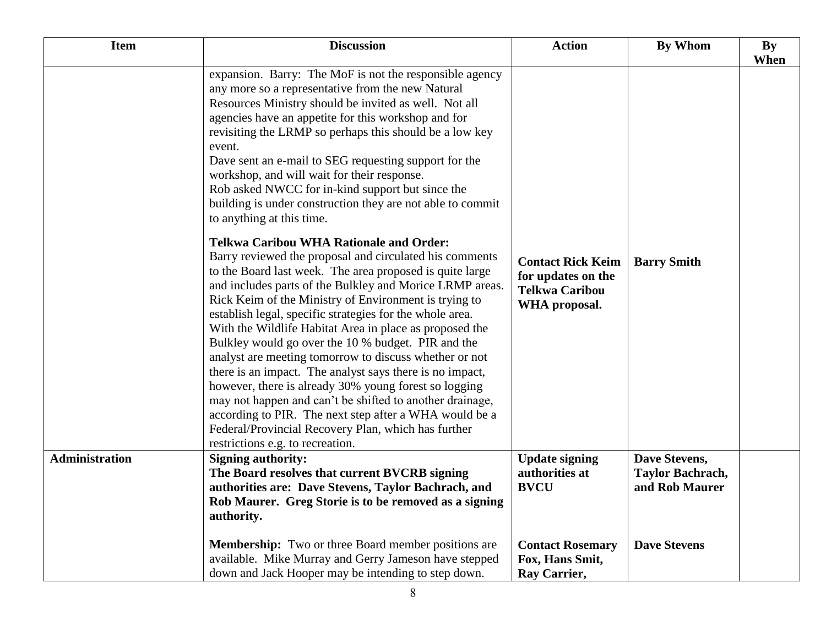| <b>Item</b>           | <b>Discussion</b>                                                                                                                                                                                                                                                                                                                                                                                                                                                                                                                                                                                                                                                                                                                                                                                                                                                                                                                                                                                                                                                                                                                                                                                                                                                                                                                                                                                                                   | <b>Action</b>                                                                            | <b>By Whom</b>                                             | By<br>When |
|-----------------------|-------------------------------------------------------------------------------------------------------------------------------------------------------------------------------------------------------------------------------------------------------------------------------------------------------------------------------------------------------------------------------------------------------------------------------------------------------------------------------------------------------------------------------------------------------------------------------------------------------------------------------------------------------------------------------------------------------------------------------------------------------------------------------------------------------------------------------------------------------------------------------------------------------------------------------------------------------------------------------------------------------------------------------------------------------------------------------------------------------------------------------------------------------------------------------------------------------------------------------------------------------------------------------------------------------------------------------------------------------------------------------------------------------------------------------------|------------------------------------------------------------------------------------------|------------------------------------------------------------|------------|
|                       | expansion. Barry: The MoF is not the responsible agency<br>any more so a representative from the new Natural<br>Resources Ministry should be invited as well. Not all<br>agencies have an appetite for this workshop and for<br>revisiting the LRMP so perhaps this should be a low key<br>event.<br>Dave sent an e-mail to SEG requesting support for the<br>workshop, and will wait for their response.<br>Rob asked NWCC for in-kind support but since the<br>building is under construction they are not able to commit<br>to anything at this time.<br><b>Telkwa Caribou WHA Rationale and Order:</b><br>Barry reviewed the proposal and circulated his comments<br>to the Board last week. The area proposed is quite large<br>and includes parts of the Bulkley and Morice LRMP areas.<br>Rick Keim of the Ministry of Environment is trying to<br>establish legal, specific strategies for the whole area.<br>With the Wildlife Habitat Area in place as proposed the<br>Bulkley would go over the 10 % budget. PIR and the<br>analyst are meeting tomorrow to discuss whether or not<br>there is an impact. The analyst says there is no impact,<br>however, there is already 30% young forest so logging<br>may not happen and can't be shifted to another drainage,<br>according to PIR. The next step after a WHA would be a<br>Federal/Provincial Recovery Plan, which has further<br>restrictions e.g. to recreation. | <b>Contact Rick Keim</b><br>for updates on the<br><b>Telkwa Caribou</b><br>WHA proposal. | <b>Barry Smith</b>                                         |            |
| <b>Administration</b> | <b>Signing authority:</b><br>The Board resolves that current BVCRB signing<br>authorities are: Dave Stevens, Taylor Bachrach, and<br>Rob Maurer. Greg Storie is to be removed as a signing<br>authority.                                                                                                                                                                                                                                                                                                                                                                                                                                                                                                                                                                                                                                                                                                                                                                                                                                                                                                                                                                                                                                                                                                                                                                                                                            | <b>Update signing</b><br>authorities at<br><b>BVCU</b>                                   | Dave Stevens,<br><b>Taylor Bachrach,</b><br>and Rob Maurer |            |
|                       | <b>Membership:</b> Two or three Board member positions are<br>available. Mike Murray and Gerry Jameson have stepped<br>down and Jack Hooper may be intending to step down.                                                                                                                                                                                                                                                                                                                                                                                                                                                                                                                                                                                                                                                                                                                                                                                                                                                                                                                                                                                                                                                                                                                                                                                                                                                          | <b>Contact Rosemary</b><br>Fox, Hans Smit,<br>Ray Carrier,                               | <b>Dave Stevens</b>                                        |            |